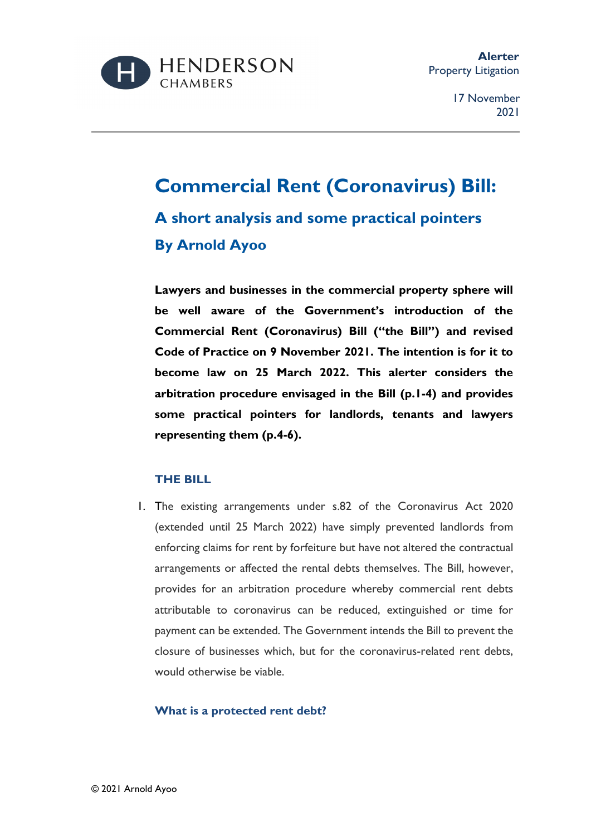

# **Commercial Rent (Coronavirus) Bill: A short analysis and some practical pointers By Arnold Ayoo**

**Lawyers and businesses in the commercial property sphere will be well aware of the Government's introduction of the Commercial Rent (Coronavirus) Bill ("the Bill") and revised Code of Practice on 9 November 2021. The intention is for it to become law on 25 March 2022. This alerter considers the arbitration procedure envisaged in the Bill (p.1-4) and provides some practical pointers for landlords, tenants and lawyers representing them (p.4-6).** 

#### **THE BILL**

1. The existing arrangements under s.82 of the Coronavirus Act 2020 (extended until 25 March 2022) have simply prevented landlords from enforcing claims for rent by forfeiture but have not altered the contractual arrangements or affected the rental debts themselves. The Bill, however, provides for an arbitration procedure whereby commercial rent debts attributable to coronavirus can be reduced, extinguished or time for payment can be extended. The Government intends the Bill to prevent the closure of businesses which, but for the coronavirus-related rent debts, would otherwise be viable.

#### **What is a protected rent debt?**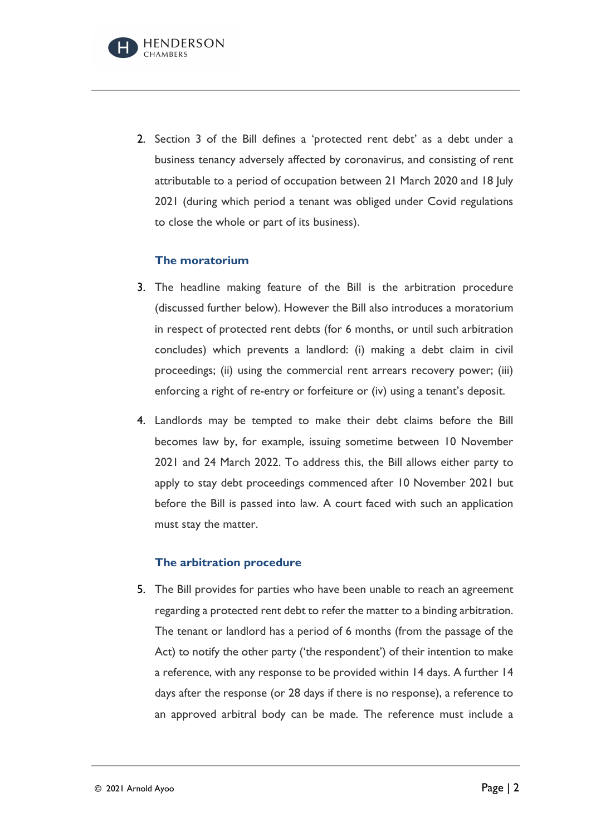

2. Section 3 of the Bill defines a 'protected rent debt' as a debt under a business tenancy adversely affected by coronavirus, and consisting of rent attributable to a period of occupation between 21 March 2020 and 18 July 2021 (during which period a tenant was obliged under Covid regulations to close the whole or part of its business).

#### **The moratorium**

- 3. The headline making feature of the Bill is the arbitration procedure (discussed further below). However the Bill also introduces a moratorium in respect of protected rent debts (for 6 months, or until such arbitration concludes) which prevents a landlord: (i) making a debt claim in civil proceedings; (ii) using the commercial rent arrears recovery power; (iii) enforcing a right of re-entry or forfeiture or (iv) using a tenant's deposit.
- 4. Landlords may be tempted to make their debt claims before the Bill becomes law by, for example, issuing sometime between 10 November 2021 and 24 March 2022. To address this, the Bill allows either party to apply to stay debt proceedings commenced after 10 November 2021 but before the Bill is passed into law. A court faced with such an application must stay the matter.

#### **The arbitration procedure**

5. The Bill provides for parties who have been unable to reach an agreement regarding a protected rent debt to refer the matter to a binding arbitration. The tenant or landlord has a period of 6 months (from the passage of the Act) to notify the other party ('the respondent') of their intention to make a reference, with any response to be provided within 14 days. A further 14 days after the response (or 28 days if there is no response), a reference to an approved arbitral body can be made. The reference must include a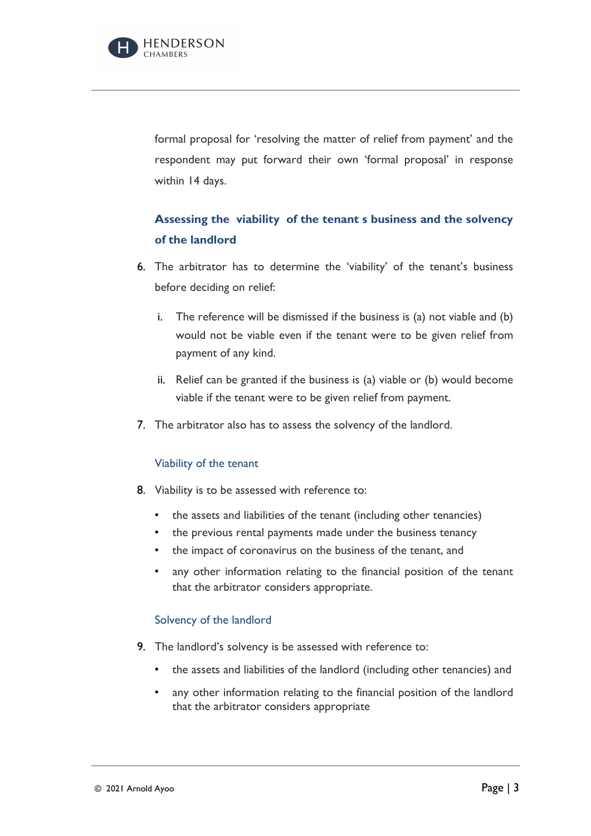

formal proposal for 'resolving the matter of relief from payment' and the respondent may put forward their own 'formal proposal' in response within 14 days.

## **Assessing the viability of the tenant s business and the solvency of the landlord**

- 6. The arbitrator has to determine the 'viability' of the tenant's business before deciding on relief:
	- i. The reference will be dismissed if the business is (a) not viable and (b) would not be viable even if the tenant were to be given relief from payment of any kind.
	- ii. Relief can be granted if the business is (a) viable or (b) would become viable if the tenant were to be given relief from payment.
- 7. The arbitrator also has to assess the solvency of the landlord.

#### Viability of the tenant

- 8. Viability is to be assessed with reference to:
	- the assets and liabilities of the tenant (including other tenancies)
	- the previous rental payments made under the business tenancy
	- the impact of coronavirus on the business of the tenant, and
	- any other information relating to the financial position of the tenant that the arbitrator considers appropriate.

#### Solvency of the landlord

- 9. The landlord's solvency is be assessed with reference to:
	- the assets and liabilities of the landlord (including other tenancies) and
	- any other information relating to the financial position of the landlord that the arbitrator considers appropriate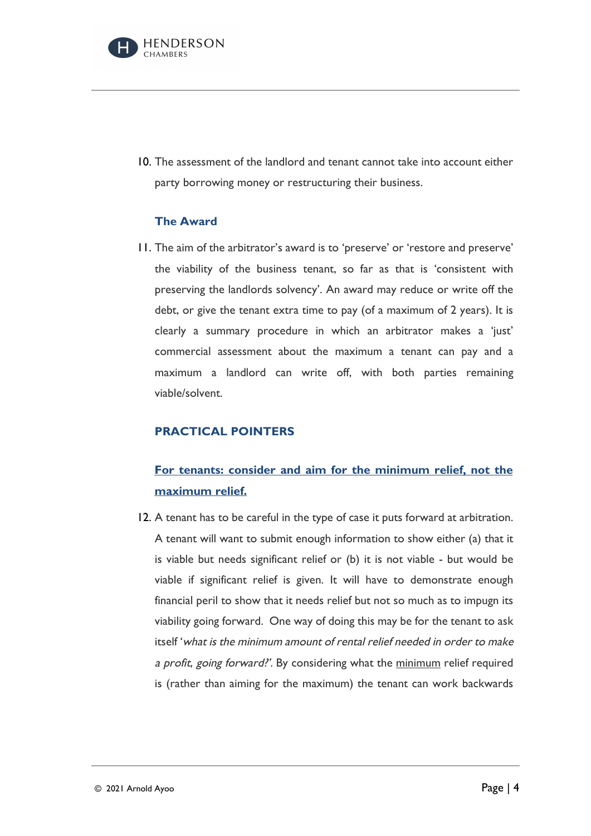

10. The assessment of the landlord and tenant cannot take into account either party borrowing money or restructuring their business.

#### **The Award**

11. The aim of the arbitrator's award is to 'preserve' or 'restore and preserve' the viability of the business tenant, so far as that is 'consistent with preserving the landlords solvency'. An award may reduce or write off the debt, or give the tenant extra time to pay (of a maximum of 2 years). It is clearly a summary procedure in which an arbitrator makes a 'just' commercial assessment about the maximum a tenant can pay and a maximum a landlord can write off, with both parties remaining viable/solvent.

#### **PRACTICAL POINTERS**

## **For tenants: consider and aim for the minimum relief, not the maximum relief.**

12. A tenant has to be careful in the type of case it puts forward at arbitration. A tenant will want to submit enough information to show either (a) that it is viable but needs significant relief or (b) it is not viable - but would be viable if significant relief is given. It will have to demonstrate enough financial peril to show that it needs relief but not so much as to impugn its viability going forward. One way of doing this may be for the tenant to ask itself 'what is the minimum amount of rental relief needed in order to make a profit, going forward?'. By considering what the minimum relief required is (rather than aiming for the maximum) the tenant can work backwards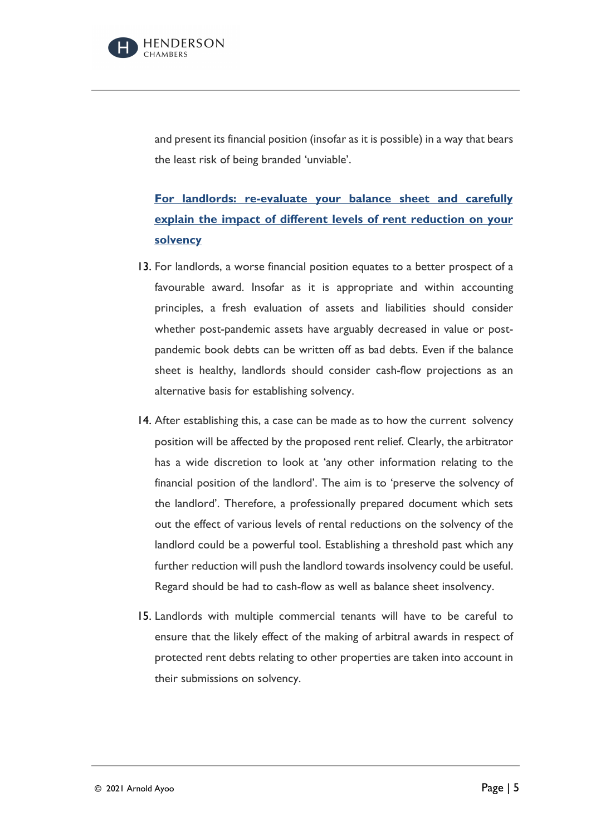

and present its financial position (insofar as it is possible) in a way that bears the least risk of being branded 'unviable'.

## **For landlords: re-evaluate your balance sheet and carefully explain the impact of different levels of rent reduction on your solvency**

- 13. For landlords, a worse financial position equates to a better prospect of a favourable award. Insofar as it is appropriate and within accounting principles, a fresh evaluation of assets and liabilities should consider whether post-pandemic assets have arguably decreased in value or postpandemic book debts can be written off as bad debts. Even if the balance sheet is healthy, landlords should consider cash-flow projections as an alternative basis for establishing solvency.
- 14. After establishing this, a case can be made as to how the current solvency position will be affected by the proposed rent relief. Clearly, the arbitrator has a wide discretion to look at 'any other information relating to the financial position of the landlord'. The aim is to 'preserve the solvency of the landlord'. Therefore, a professionally prepared document which sets out the effect of various levels of rental reductions on the solvency of the landlord could be a powerful tool. Establishing a threshold past which any further reduction will push the landlord towards insolvency could be useful. Regard should be had to cash-flow as well as balance sheet insolvency.
- 15. Landlords with multiple commercial tenants will have to be careful to ensure that the likely effect of the making of arbitral awards in respect of protected rent debts relating to other properties are taken into account in their submissions on solvency.